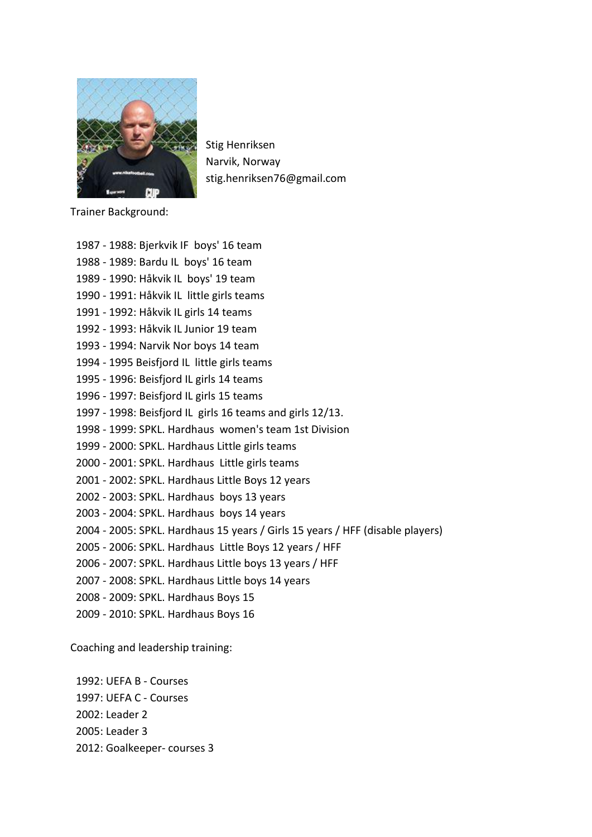

Stig Henriksen Narvik, Norway stig.henriksen76@gmail.com

Trainer Background:

| 1987 - 1988: Bjerkvik IF boys' 16 team                                        |
|-------------------------------------------------------------------------------|
| 1988 - 1989: Bardu IL boys' 16 team                                           |
| 1989 - 1990: Håkvik IL boys' 19 team                                          |
| 1990 - 1991: Håkvik IL little girls teams                                     |
| 1991 - 1992: Håkvik IL girls 14 teams                                         |
| 1992 - 1993: Håkvik IL Junior 19 team                                         |
| 1993 - 1994: Narvik Nor boys 14 team                                          |
| 1994 - 1995 Beisfjord IL little girls teams                                   |
| 1995 - 1996: Beisfjord IL girls 14 teams                                      |
| 1996 - 1997: Beisfjord IL girls 15 teams                                      |
| 1997 - 1998: Beisfjord IL girls 16 teams and girls 12/13.                     |
| 1998 - 1999: SPKL. Hardhaus women's team 1st Division                         |
| 1999 - 2000: SPKL. Hardhaus Little girls teams                                |
| 2000 - 2001: SPKL. Hardhaus Little girls teams                                |
| 2001 - 2002: SPKL. Hardhaus Little Boys 12 years                              |
| 2002 - 2003: SPKL. Hardhaus boys 13 years                                     |
| 2003 - 2004: SPKL. Hardhaus boys 14 years                                     |
| 2004 - 2005: SPKL. Hardhaus 15 years / Girls 15 years / HFF (disable players) |
| 2005 - 2006: SPKL. Hardhaus Little Boys 12 years / HFF                        |
| 2006 - 2007: SPKL. Hardhaus Little boys 13 years / HFF                        |
| 2007 - 2008: SPKL. Hardhaus Little boys 14 years                              |
| 2008 - 2009: SPKL. Hardhaus Boys 15                                           |
| 2009 - 2010: SPKL. Hardhaus Boys 16                                           |

Coaching and leadership training:

1992: UEFA B - Courses 1997: UEFA C - Courses 2002: Leader 2 2005: Leader 3 2012: Goalkeeper- courses 3